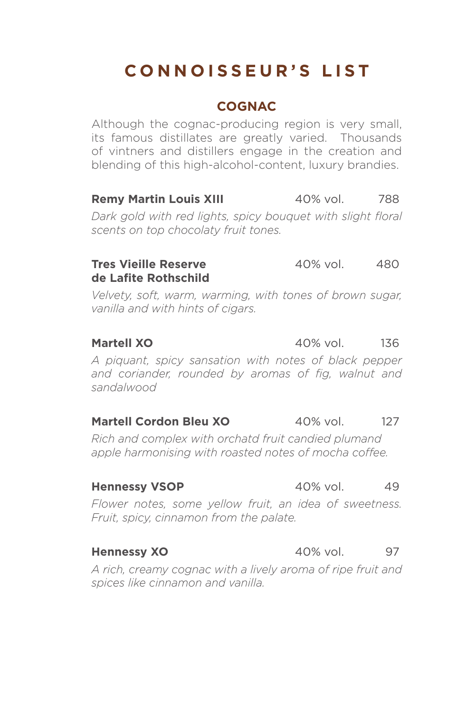# **CONNOISSEUR'S LIST**

# **COGNAC**

Although the cognac-producing region is very small, its famous distillates are greatly varied. Thousands of vintners and distillers engage in the creation and blending of this high-alcohol-content, luxury brandies.

# **Remy Martin Louis XIII** 40% vol. 788

*Dark gold with red lights, spicy bouquet with slight floral scents on top chocolaty fruit tones.*

### **Tres Vieille Reserve 40% vol.** 480 **de Lafite Rothschild**

*Velvety, soft, warm, warming, with tones of brown sugar, vanilla and with hints of cigars.*

**Martell XO** 40% vol. 136

*A piquant, spicy sansation with notes of black pepper and coriander, rounded by aromas of fig, walnut and sandalwood*

### **Martell Cordon Bleu XO** 40% vol. 127

*Rich and complex with orchatd fruit candied plumand apple harmonising with roasted notes of mocha coffee.*

*Flower notes, some yellow fruit, an idea of sweetness. Fruit, spicy, cinnamon from the palate.*

### **Hennessy XO** 40% vol. 97

*A rich, creamy cognac with a lively aroma of ripe fruit and spices like cinnamon and vanilla.*

### **Hennessy VSOP** 40% vol. 49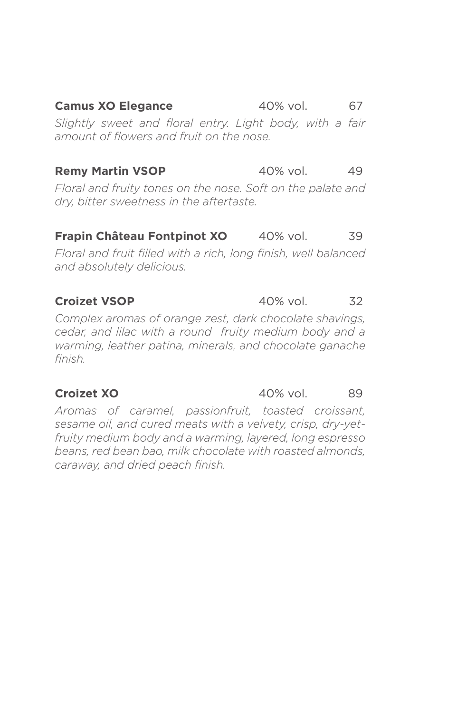**Camus XO Elegance** 40% vol. 67 *Slightly sweet and floral entry. Light body, with a fair amount of flowers and fruit on the nose.*

## **Remy Martin VSOP** 40% vol. 49

*Floral and fruity tones on the nose. Soft on the palate and dry, bitter sweetness in the aftertaste.*

# **Frapin Château Fontpinot XO** 40% vol. 39

*Floral and fruit filled with a rich, long finish, well balanced and absolutely delicious.*

## **Croizet VSOP** 40% vol. 32

*Complex aromas of orange zest, dark chocolate shavings, cedar, and lilac with a round fruity medium body and a warming, leather patina, minerals, and chocolate ganache finish.*

*Aromas of caramel, passionfruit, toasted croissant, sesame oil, and cured meats with a velvety, crisp, dry-yetfruity medium body and a warming, layered, long espresso beans, red bean bao, milk chocolate with roasted almonds, caraway, and dried peach finish.*

### **Croizet XO** 40% vol. 89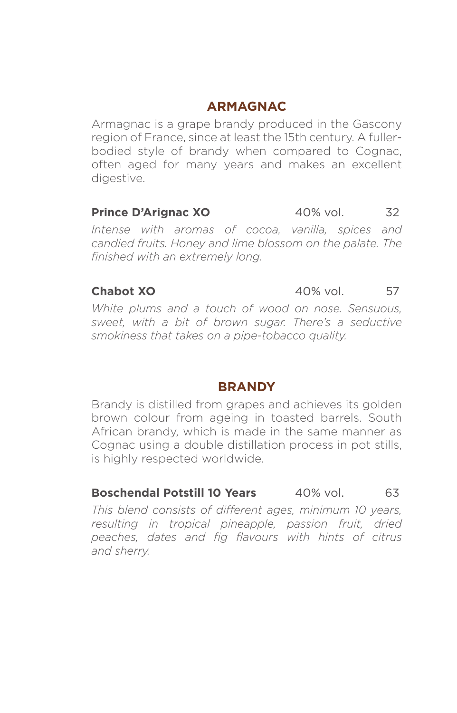# **ARMAGNAC**

Armagnac is a grape brandy produced in the Gascony region of France, since at least the 15th century. A fullerbodied style of brandy when compared to Cognac, often aged for many years and makes an excellent digestive.

# **Prince D'Arignac XO** 40% vol. 32

*Intense with aromas of cocoa, vanilla, spices and candied fruits. Honey and lime blossom on the palate. The finished with an extremely long.*

**Chabot XO** 40% vol. 57

*White plums and a touch of wood on nose. Sensuous, sweet, with a bit of brown sugar. There's a seductive smokiness that takes on a pipe-tobacco quality.* 

### **BRANDY**

Brandy is distilled from grapes and achieves its golden brown colour from ageing in toasted barrels. South African brandy, which is made in the same manner as Cognac using a double distillation process in pot stills, is highly respected worldwide.

# **Boschendal Potstill 10 Years** 40% vol. 63

*This blend consists of different ages, minimum 10 years, resulting in tropical pineapple, passion fruit, dried peaches, dates and fig flavours with hints of citrus and sherry.*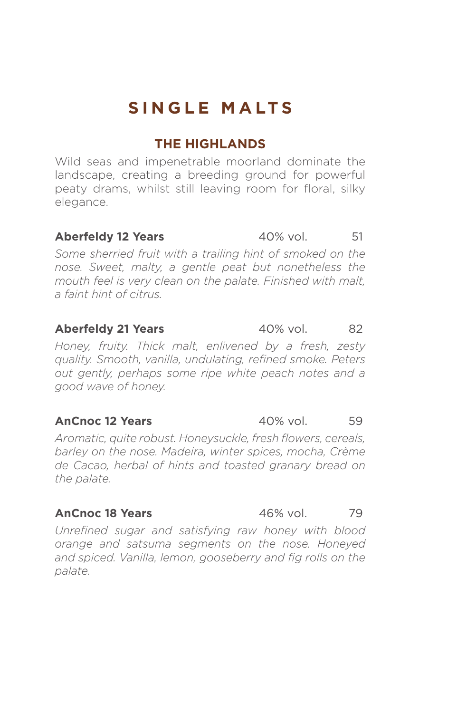# **SINGLE MALTS**

# **THE HIGHLANDS**

Wild seas and impenetrable moorland dominate the landscape, creating a breeding ground for powerful peaty drams, whilst still leaving room for floral, silky elegance.

### **Aberfeldy 12 Years** 40% vol. 51

Some sherried fruit with a trailing hint of smoked on the *nose. Sweet, malty, a gentle peat but nonetheless the mouth feel is very clean on the palate. Finished with malt, a faint hint of citrus.*

### **Aberfeldy 21 Years** 40% vol. 82

*Honey, fruity. Thick malt, enlivened by a fresh, zesty quality. Smooth, vanilla, undulating, refined smoke. Peters out gently, perhaps some ripe white peach notes and a good wave of honey.*

### **AnCnoc 12 Years** 40% vol. 59

*Aromatic, quite robust. Honeysuckle, fresh flowers, cereals, barley on the nose. Madeira, winter spices, mocha, Crème de Cacao, herbal of hints and toasted granary bread on the palate.*

### **AnCnoc 18 Years** 46% vol. 79

*Unrefined sugar and satisfying raw honey with blood orange and satsuma segments on the nose. Honeyed and spiced. Vanilla, lemon, gooseberry and fig rolls on the palate.*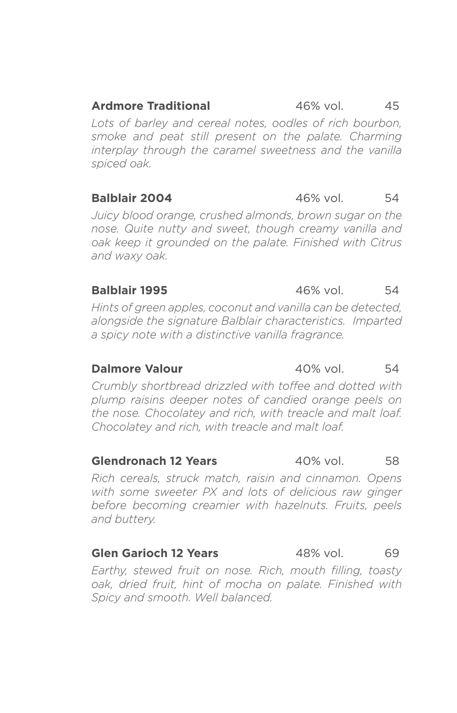### **Ardmore Traditional** 46% vol. 45

*Lots of barley and cereal notes, oodles of rich bourbon, smoke and peat still present on the palate. Charming interplay through the caramel sweetness and the vanilla spiced oak.*

# **Balblair 2004** 46% vol. 54

*Juicy blood orange, crushed almonds, brown sugar on the nose. Quite nutty and sweet, though creamy vanilla and oak keep it grounded on the palate. Finished with Citrus and waxy oak.*

### **Balblair 1995** 46% vol. 54

*Hints of green apples, coconut and vanilla can be detected, alongside the signature Balblair characteristics. Imparted a spicy note with a distinctive vanilla fragrance.*

### **Dalmore Valour** 40% vol. 54

*Crumbly shortbread drizzled with toffee and dotted with plump raisins deeper notes of candied orange peels on the nose. Chocolatey and rich, with treacle and malt loaf. Chocolatey and rich, with treacle and malt loaf.*

### **Glendronach 12 Years** 40% vol. 58

*Rich cereals, struck match, raisin and cinnamon. Opens with some sweeter PX and lots of delicious raw ginger before becoming creamier with hazelnuts. Fruits, peels and buttery.*

### **Glen Garioch 12 Years** 48% vol. 69

*Earthy, stewed fruit on nose. Rich, mouth filling, toasty oak, dried fruit, hint of mocha on palate. Finished with Spicy and smooth. Well balanced.*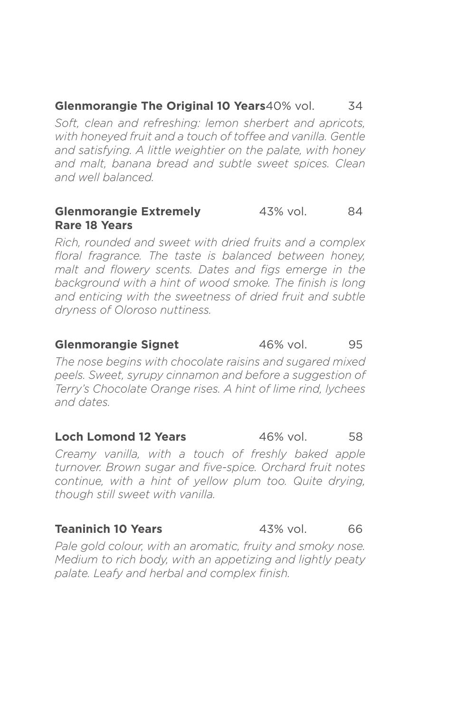### **Glenmorangie The Original 10 Years** 40% vol. 34

*Soft, clean and refreshing: lemon sherbert and apricots, with honeyed fruit and a touch of toffee and vanilla. Gentle and satisfying. A little weightier on the palate, with honey and malt, banana bread and subtle sweet spices. Clean and well balanced.*

### **Glenmorangie Extremely 43% vol. 84 Rare 18 Years**

*Rich, rounded and sweet with dried fruits and a complex floral fragrance. The taste is balanced between honey, malt and flowery scents. Dates and figs emerge in the background with a hint of wood smoke. The finish is long and enticing with the sweetness of dried fruit and subtle dryness of Oloroso nuttiness.*

### **Glenmorangie Signet** 46% vol. 95

*The nose begins with chocolate raisins and sugared mixed peels. Sweet, syrupy cinnamon and before a suggestion of Terry's Chocolate Orange rises. A hint of lime rind, lychees and dates.*

### **Loch Lomond 12 Years** 46% vol. 58

*Creamy vanilla, with a touch of freshly baked apple turnover. Brown sugar and five-spice. Orchard fruit notes continue, with a hint of yellow plum too. Quite drying, though still sweet with vanilla.*

### **Teaninich 10 Years 43% vol.** 66

*Pale gold colour, with an aromatic, fruity and smoky nose. Medium to rich body, with an appetizing and lightly peaty palate. Leafy and herbal and complex finish.*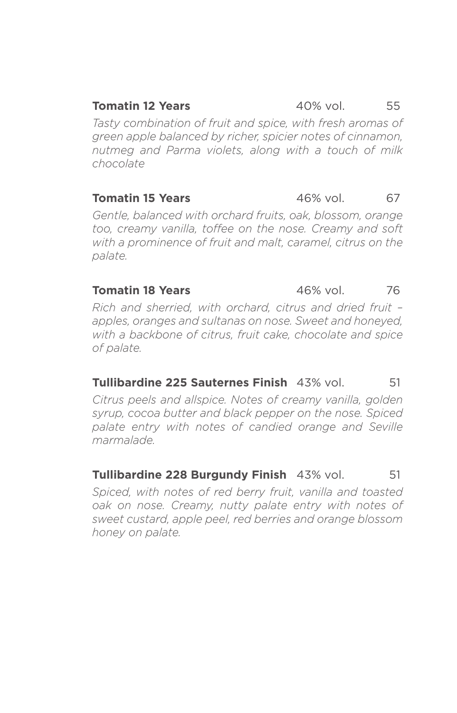### **Tomatin 12 Years 12 Years 12 Years 12 Years 12 Years 12 Years 12 Years 12 Years 12 Years 12 Years 12 Years 12 Years 12 Years 12 Years 12 Years 12 Years 12 Years 12 Years 12 Years 12 Y**

*Tasty combination of fruit and spice, with fresh aromas of green apple balanced by richer, spicier notes of cinnamon, nutmeg and Parma violets, along with a touch of milk chocolate*

## **Tomatin 15 Years** 46% vol. 67

*Gentle, balanced with orchard fruits, oak, blossom, orange too, creamy vanilla, toffee on the nose. Creamy and soft with a prominence of fruit and malt, caramel, citrus on the palate.* 

### **Tomatin 18 Years** 46% vol. 76

*Rich and sherried, with orchard, citrus and dried fruit – apples, oranges and sultanas on nose. Sweet and honeyed, with a backbone of citrus, fruit cake, chocolate and spice of palate.*

### **Tullibardine 225 Sauternes Finish** 43% vol. 51

*Citrus peels and allspice. Notes of creamy vanilla, golden syrup, cocoa butter and black pepper on the nose. Spiced palate entry with notes of candied orange and Seville marmalade.*

### **Tullibardine 228 Burgundy Finish** 43% vol. 51

*Spiced, with notes of red berry fruit, vanilla and toasted oak on nose. Creamy, nutty palate entry with notes of sweet custard, apple peel, red berries and orange blossom honey on palate.*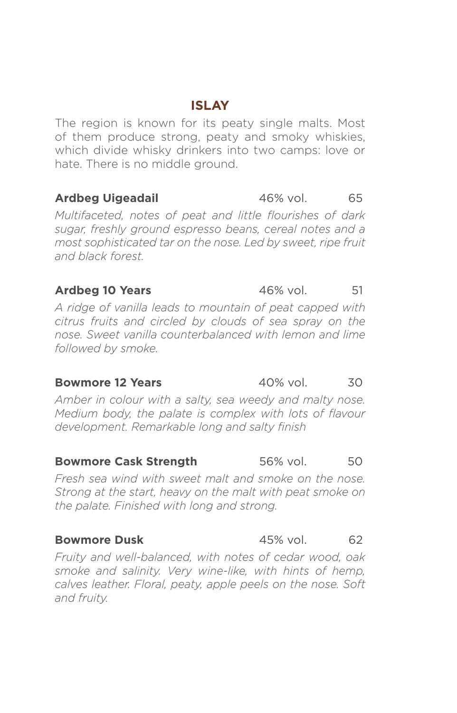# **ISLAY**

The region is known for its peaty single malts. Most of them produce strong, peaty and smoky whiskies, which divide whisky drinkers into two camps: love or hate. There is no middle ground.

### **Ardbeg Uigeadail** 46% vol. 65

*Multifaceted, notes of peat and little flourishes of dark sugar, freshly ground espresso beans, cereal notes and a most sophisticated tar on the nose. Led by sweet, ripe fruit and black forest.*

### **Ardbeg 10 Years** 46% vol. 51

*A ridge of vanilla leads to mountain of peat capped with citrus fruits and circled by clouds of sea spray on the nose. Sweet vanilla counterbalanced with lemon and lime followed by smoke.*

*Amber in colour with a salty, sea weedy and malty nose. Medium body, the palate is complex with lots of flavour development. Remarkable long and salty finish*

### **Bowmore Cask Strength** 56% vol. 50

*Fresh sea wind with sweet malt and smoke on the nose. Strong at the start, heavy on the malt with peat smoke on the palate. Finished with long and strong.*

### **Bowmore Dusk** 45% vol. 62

*Fruity and well-balanced, with notes of cedar wood, oak smoke and salinity. Very wine-like, with hints of hemp, calves leather. Floral, peaty, apple peels on the nose. Soft and fruity.*

### **Bowmore 12 Years** 40% vol. 30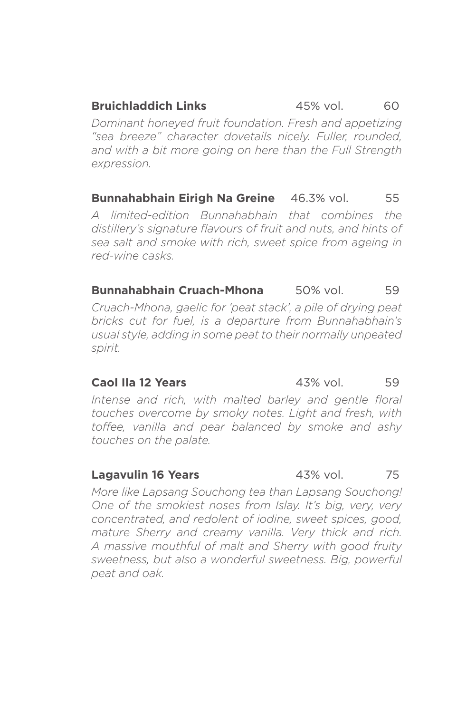### **Bruichladdich Links** 45% vol. 60

*Dominant honeyed fruit foundation. Fresh and appetizing "sea breeze" character dovetails nicely. Fuller, rounded, and with a bit more going on here than the Full Strength expression.*

**Bunnahabhain Eirigh Na Greine** 46.3% vol. 55

*A limited-edition Bunnahabhain that combines the distillery's signature flavours of fruit and nuts, and hints of sea salt and smoke with rich, sweet spice from ageing in red-wine casks.*

**Bunnahabhain Cruach-Mhona** 50% vol. 59 *Cruach-Mhona, gaelic for 'peat stack', a pile of drying peat bricks cut for fuel, is a departure from Bunnahabhain's usual style, adding in some peat to their normally unpeated spirit.*

### **Caol Ila 12 Years** 43% vol. 59

*Intense and rich, with malted barley and gentle floral touches overcome by smoky notes. Light and fresh, with toffee, vanilla and pear balanced by smoke and ashy touches on the palate.*

### **Lagavulin 16 Years 43% vol.** 75

*More like Lapsang Souchong tea than Lapsang Souchong! One of the smokiest noses from Islay. It's big, very, very concentrated, and redolent of iodine, sweet spices, good, mature Sherry and creamy vanilla. Very thick and rich. A massive mouthful of malt and Sherry with good fruity sweetness, but also a wonderful sweetness. Big, powerful peat and oak.*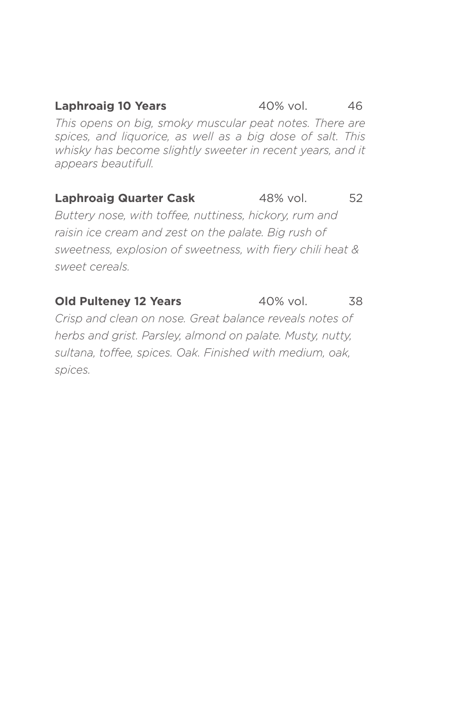**Laphroaig 10 Years** 40% vol. 46 *This opens on big, smoky muscular peat notes. There are spices, and liquorice, as well as a big dose of salt. This whisky has become slightly sweeter in recent years, and it appears beautifull.*

# **Laphroaig Quarter Cask** 48% vol. 52

*Buttery nose, with toffee, nuttiness, hickory, rum and raisin ice cream and zest on the palate. Big rush of sweetness, explosion of sweetness, with fiery chili heat & sweet cereals.*

### **Old Pulteney 12 Years** 40% vol. 38

*Crisp and clean on nose. Great balance reveals notes of herbs and grist. Parsley, almond on palate. Musty, nutty, sultana, toffee, spices. Oak. Finished with medium, oak, spices.*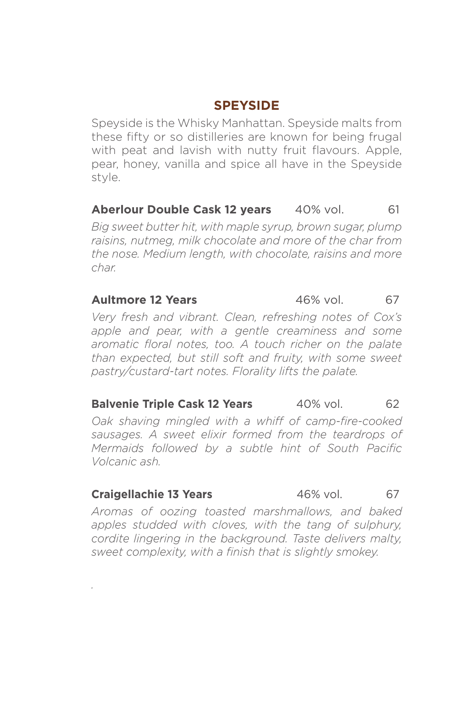# **SPEYSIDE**

Speyside is the Whisky Manhattan. Speyside malts from these fifty or so distilleries are known for being frugal with peat and lavish with nutty fruit flavours. Apple, pear, honey, vanilla and spice all have in the Speyside style.

### **Aberlour Double Cask 12 years** 40% vol. 61

*Big sweet butter hit, with maple syrup, brown sugar, plump raisins, nutmeg, milk chocolate and more of the char from the nose. Medium length, with chocolate, raisins and more char.*

### **Aultmore 12 Years 46% vol. 67**

*Very fresh and vibrant. Clean, refreshing notes of Cox's apple and pear, with a gentle creaminess and some aromatic floral notes, too. A touch richer on the palate than expected, but still soft and fruity, with some sweet pastry/custard-tart notes. Florality lifts the palate.*

### **Balvenie Triple Cask 12 Years** 40% vol. 62

*Oak shaving mingled with a whiff of camp-fire-cooked sausages. A sweet elixir formed from the teardrops of Mermaids followed by a subtle hint of South Pacific Volcanic ash.*

### **Craigellachie 13 Years** 46% vol. 67

*.*

*Aromas of oozing toasted marshmallows, and baked apples studded with cloves, with the tang of sulphury, cordite lingering in the background. Taste delivers malty, sweet complexity, with a finish that is slightly smokey.*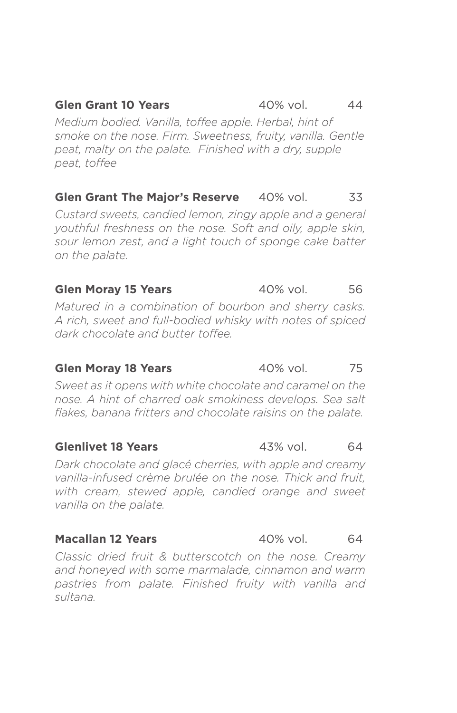## **Glen Grant 10 Years** 40% vol. 44

*Medium bodied. Vanilla, toffee apple. Herbal, hint of smoke on the nose. Firm. Sweetness, fruity, vanilla. Gentle peat, malty on the palate. Finished with a dry, supple peat, toffee* 

# **Glen Grant The Major's Reserve** 40% vol. 33

*Custard sweets, candied lemon, zingy apple and a general youthful freshness on the nose. Soft and oily, apple skin, sour lemon zest, and a light touch of sponge cake batter on the palate.*

# **Glen Moray 15 Years** 40% vol. 56

*Matured in a combination of bourbon and sherry casks. A rich, sweet and full-bodied whisky with notes of spiced dark chocolate and butter toffee.*

### **Glen Moray 18 Years** 40% vol. 75

*Sweet as it opens with white chocolate and caramel on the nose. A hint of charred oak smokiness develops. Sea salt flakes, banana fritters and chocolate raisins on the palate.*

### **Glenlivet 18 Years** 43% vol. 64

*Dark chocolate and glacé cherries, with apple and creamy vanilla-infused crème brulée on the nose. Thick and fruit, with cream, stewed apple, candied orange and sweet vanilla on the palate.*

### **Macallan 12 Years** 40% vol. 64

*Classic dried fruit & butterscotch on the nose. Creamy and honeyed with some marmalade, cinnamon and warm pastries from palate. Finished fruity with vanilla and sultana.*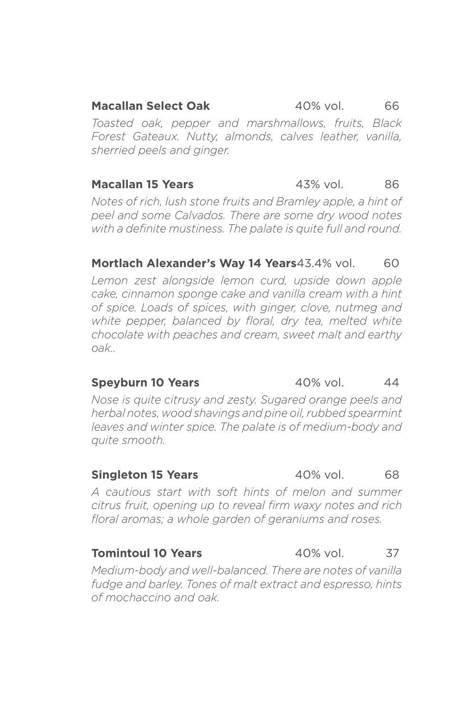**Macallan Select Oak** 40% vol. 66 *Toasted oak, pepper and marshmallows, fruits, Black Forest Gateaux. Nutty, almonds, calves leather, vanilla, sherried peels and ginger.*

# **Macallan 15 Years** 43% vol. 86

*Notes of rich, lush stone fruits and Bramley apple, a hint of peel and some Calvados. There are some dry wood notes with a definite mustiness. The palate is quite full and round.*

# **Mortlach Alexander's Way 14 Years** 43.4% vol. 60

*Lemon zest alongside lemon curd, upside down apple cake, cinnamon sponge cake and vanilla cream with a hint of spice. Loads of spices, with ginger, clove, nutmeg and white pepper, balanced by floral, dry tea, melted white chocolate with peaches and cream, sweet malt and earthy oak..*

# **Speyburn 10 Years** 40% vol. 44

*Nose is quite citrusy and zesty. Sugared orange peels and herbal notes, wood shavings and pine oil, rubbed spearmint leaves and winter spice. The palate is of medium-body and quite smooth.*

### **Singleton 15 Years 40% vol.** 68

*A cautious start with soft hints of melon and summer citrus fruit, opening up to reveal firm waxy notes and rich floral aromas; a whole garden of geraniums and roses.*

### **Tomintoul 10 Years** 40% vol. 37

*Medium-body and well-balanced. There are notes of vanilla fudge and barley. Tones of malt extract and espresso, hints of mochaccino and oak.*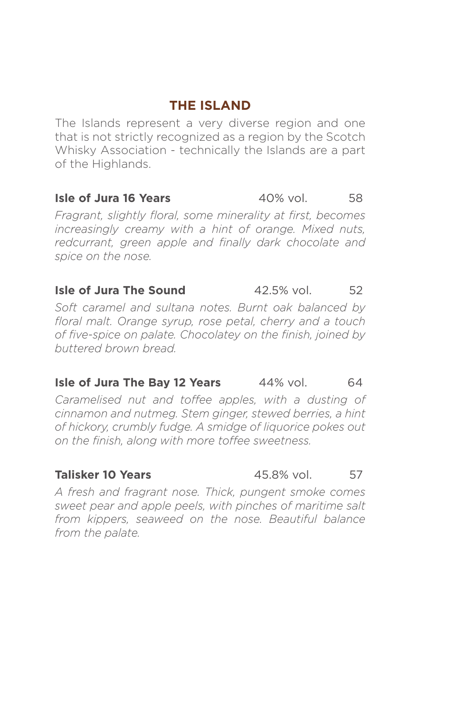# **THE ISLAND**

The Islands represent a very diverse region and one that is not strictly recognized as a region by the Scotch Whisky Association - technically the Islands are a part of the Highlands.

## **Isle of Jura 16 Years** 40% vol. 58

*Fragrant, slightly floral, some minerality at first, becomes increasingly creamy with a hint of orange. Mixed nuts, redcurrant, green apple and finally dark chocolate and spice on the nose.* 

### **Isle of Jura The Sound** 42.5% vol. 52

*Soft caramel and sultana notes. Burnt oak balanced by floral malt. Orange syrup, rose petal, cherry and a touch of five-spice on palate. Chocolatey on the finish, joined by buttered brown bread.*

### **Isle of Jura The Bay 12 Years** 44% vol. 64

*Caramelised nut and toffee apples, with a dusting of cinnamon and nutmeg. Stem ginger, stewed berries, a hint of hickory, crumbly fudge. A smidge of liquorice pokes out on the finish, along with more toffee sweetness.* 

*A fresh and fragrant nose. Thick, pungent smoke comes sweet pear and apple peels, with pinches of maritime salt from kippers, seaweed on the nose. Beautiful balance from the palate.*

### **Talisker 10 Years 10 Years 15.8% vol.** 57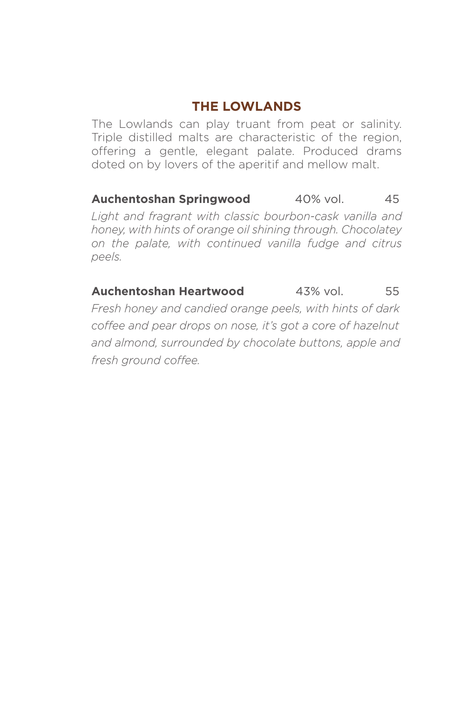# **THE LOWLANDS**

The Lowlands can play truant from peat or salinity. Triple distilled malts are characteristic of the region, offering a gentle, elegant palate. Produced drams doted on by lovers of the aperitif and mellow malt.

**Auchentoshan Springwood** 40% vol. 45 *Light and fragrant with classic bourbon-cask vanilla and honey, with hints of orange oil shining through. Chocolatey on the palate, with continued vanilla fudge and citrus peels.*

**Auchentoshan Heartwood** 43% vol. 55 *Fresh honey and candied orange peels, with hints of dark coffee and pear drops on nose, it's got a core of hazelnut and almond, surrounded by chocolate buttons, apple and fresh ground coffee.*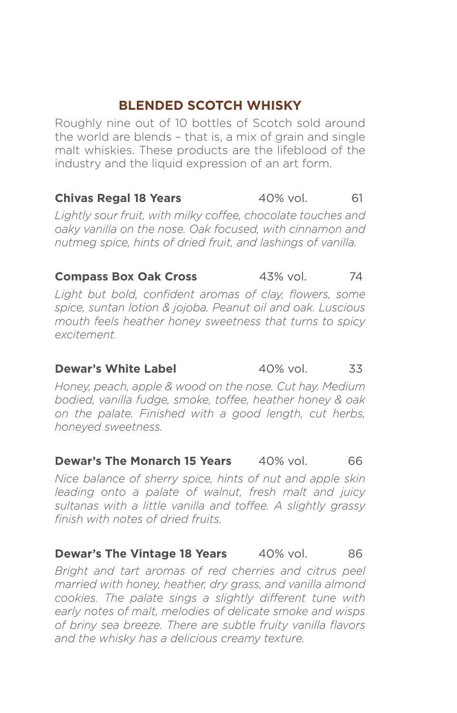# **BLENDED SCOTCH WHISKY**

Roughly nine out of 10 bottles of Scotch sold around the world are blends – that is, a mix of grain and single malt whiskies. These products are the lifeblood of the industry and the liquid expression of an art form.

# **Chivas Regal 18 Years** 40% vol. 61

*Lightly sour fruit, with milky coffee, chocolate touches and oaky vanilla on the nose. Oak focused, with cinnamon and nutmeg spice, hints of dried fruit, and lashings of vanilla.*

### **Compass Box Oak Cross** 43% vol. 74

Light but bold, confident aromas of clay, flowers, some *spice, suntan lotion & jojoba. Peanut oil and oak. Luscious mouth feels heather honey sweetness that turns to spicy excitement.* 

### **Dewar's White Label** 40% vol. 33

*Honey, peach, apple & wood on the nose. Cut hay. Medium bodied, vanilla fudge, smoke, toffee, heather honey & oak on the palate. Finished with a good length, cut herbs, honeyed sweetness.*

### **Dewar's The Monarch 15 Years** 40% vol. 66

*Nice balance of sherry spice, hints of nut and apple skin leading onto a palate of walnut, fresh malt and juicy sultanas with a little vanilla and toffee. A slightly grassy finish with notes of dried fruits.* 

### **Dewar's The Vintage 18 Years** 40% vol. 86

*Bright and tart aromas of red cherries and citrus peel married with honey, heather, dry grass, and vanilla almond cookies. The palate sings a slightly different tune with early notes of malt, melodies of delicate smoke and wisps of briny sea breeze. There are subtle fruity vanilla flavors and the whisky has a delicious creamy texture.*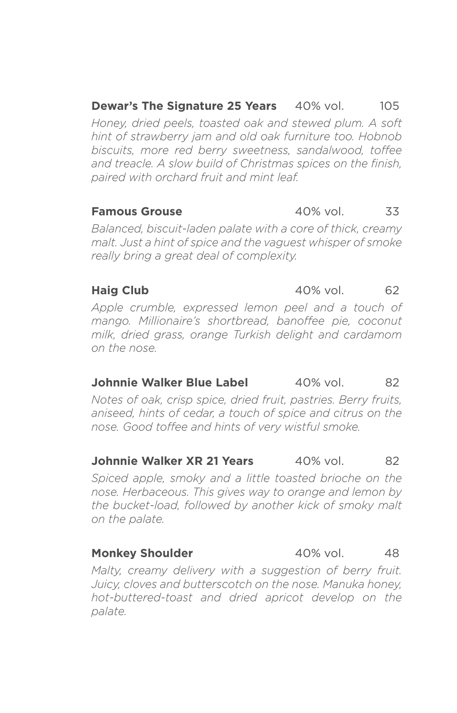**Dewar's The Signature 25 Years** 40% vol. 105 *Honey, dried peels, toasted oak and stewed plum. A soft hint of strawberry jam and old oak furniture too. Hobnob biscuits, more red berry sweetness, sandalwood, toffee and treacle. A slow build of Christmas spices on the finish, paired with orchard fruit and mint leaf.*

### **Famous Grouse** 40% vol. 33

*Balanced, biscuit-laden palate with a core of thick, creamy malt. Just a hint of spice and the vaguest whisper of smoke really bring a great deal of complexity.*

### **Haig Club** 40% vol. 62

*Apple crumble, expressed lemon peel and a touch of mango. Millionaire's shortbread, banoffee pie, coconut milk, dried grass, orange Turkish delight and cardamom on the nose.* 

# **Johnnie Walker Blue Label** 40% vol. 82

*Notes of oak, crisp spice, dried fruit, pastries. Berry fruits, aniseed, hints of cedar, a touch of spice and citrus on the nose. Good toffee and hints of very wistful smoke.*

### **Johnnie Walker XR 21 Years** 40% vol. 82

*Spiced apple, smoky and a little toasted brioche on the nose. Herbaceous. This gives way to orange and lemon by the bucket-load, followed by another kick of smoky malt on the palate.*

*Malty, creamy delivery with a suggestion of berry fruit. Juicy, cloves and butterscotch on the nose. Manuka honey, hot-buttered-toast and dried apricot develop on the palate.*

### **Monkey Shoulder** 40% vol. 48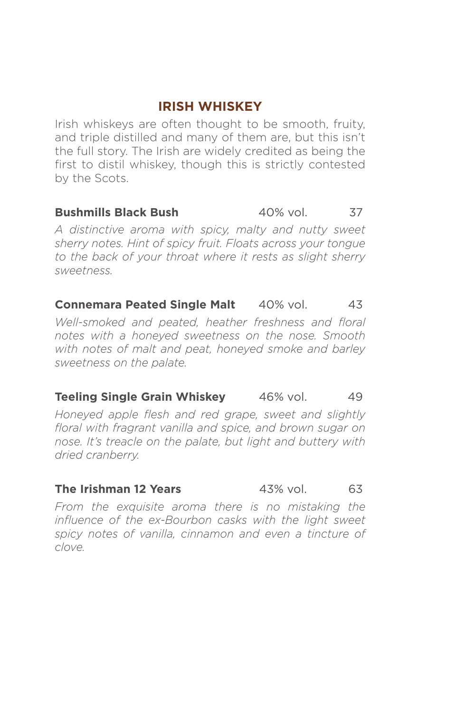# **IRISH WHISKEY**

Irish whiskeys are often thought to be smooth, fruity, and triple distilled and many of them are, but this isn't the full story. The Irish are widely credited as being the first to distil whiskey, though this is strictly contested by the Scots.

### **Bushmills Black Bush** 40% vol. 37

*A distinctive aroma with spicy, malty and nutty sweet sherry notes. Hint of spicy fruit. Floats across your tongue to the back of your throat where it rests as slight sherry sweetness.*

## **Connemara Peated Single Malt** 40% vol. 43

*Well-smoked and peated, heather freshness and floral notes with a honeyed sweetness on the nose. Smooth with notes of malt and peat, honeyed smoke and barley sweetness on the palate.*

### **Teeling Single Grain Whiskey** 46% vol. 49

*Honeyed apple flesh and red grape, sweet and slightly floral with fragrant vanilla and spice, and brown sugar on nose. It's treacle on the palate, but light and buttery with dried cranberry.*

### **The Irishman 12 Years** 43% vol. 63

*From the exquisite aroma there is no mistaking the influence of the ex-Bourbon casks with the light sweet spicy notes of vanilla, cinnamon and even a tincture of clove.*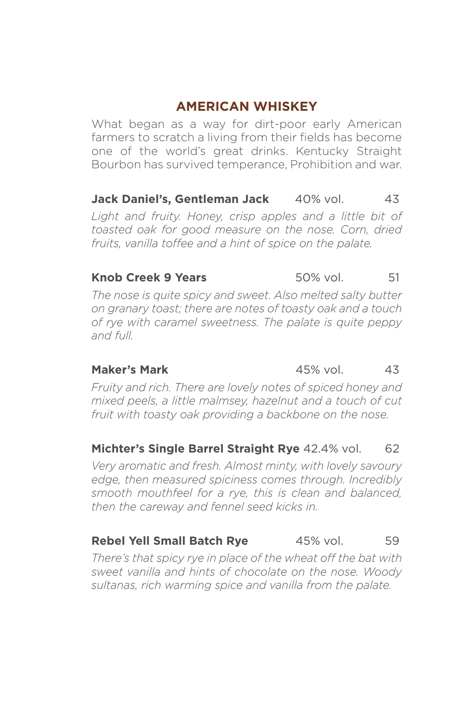# **AMERICAN WHISKEY**

What began as a way for dirt-poor early American farmers to scratch a living from their fields has become one of the world's great drinks. Kentucky Straight Bourbon has survived temperance, Prohibition and war.

# **Jack Daniel's, Gentleman Jack** 40% vol. 43

*Light and fruity. Honey, crisp apples and a little bit of toasted oak for good measure on the nose. Corn, dried fruits, vanilla toffee and a hint of spice on the palate.*

### **Knob Creek 9 Years** 50% vol. 51

*The nose is quite spicy and sweet. Also melted salty butter on granary toast; there are notes of toasty oak and a touch of rye with caramel sweetness. The palate is quite peppy and full.*

**Maker's Mark** 45% vol. 43

*Fruity and rich. There are lovely notes of spiced honey and mixed peels, a little malmsey, hazelnut and a touch of cut fruit with toasty oak providing a backbone on the nose.*

### **Michter's Single Barrel Straight Rye 42.4% vol. 62**

*Very aromatic and fresh. Almost minty, with lovely savoury edge, then measured spiciness comes through. Incredibly smooth mouthfeel for a rye, this is clean and balanced, then the careway and fennel seed kicks in.*

# **Rebel Yell Small Batch Rye** 45% vol. 59

*There's that spicy rye in place of the wheat off the bat with sweet vanilla and hints of chocolate on the nose. Woody sultanas, rich warming spice and vanilla from the palate.*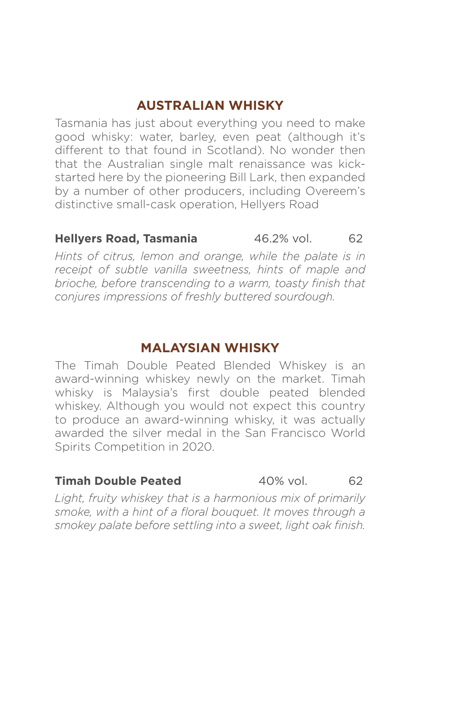# **AUSTRALIAN WHISKY**

Tasmania has just about everything you need to make good whisky: water, barley, even peat (although it's different to that found in Scotland). No wonder then that the Australian single malt renaissance was kickstarted here by the pioneering Bill Lark, then expanded by a number of other producers, including Overeem's distinctive small-cask operation, Hellyers Road

### **Hellyers Road, Tasmania** 46.2% vol. 62

*Hints of citrus, lemon and orange, while the palate is in receipt of subtle vanilla sweetness, hints of maple and brioche, before transcending to a warm, toasty finish that conjures impressions of freshly buttered sourdough.*

# **MALAYSIAN WHISKY**

The Timah Double Peated Blended Whiskey is an award-winning whiskey newly on the market. Timah whisky is Malaysia's first double peated blended whiskey. Although you would not expect this country to produce an award-winning whisky, it was actually awarded the silver medal in the San Francisco World Spirits Competition in 2020.

### **Timah Double Peated** 40% vol. 62

*Light, fruity whiskey that is a harmonious mix of primarily smoke, with a hint of a floral bouquet. It moves through a smokey palate before settling into a sweet, light oak finish.*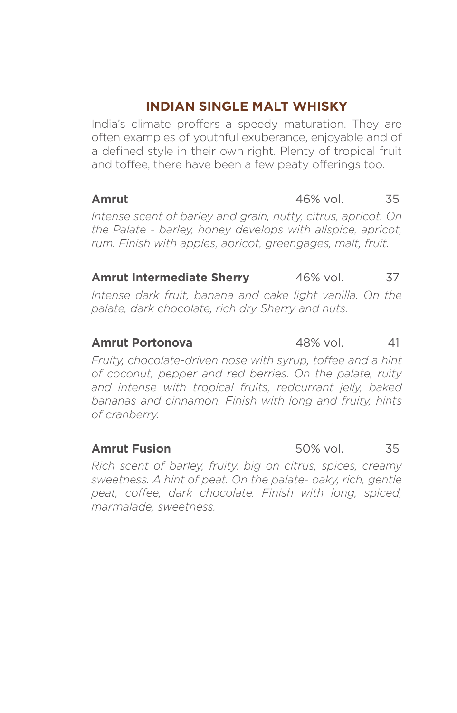# **INDIAN SINGLE MALT WHISKY**

India's climate proffers a speedy maturation. They are often examples of youthful exuberance, enjoyable and of a defined style in their own right. Plenty of tropical fruit and toffee, there have been a few peaty offerings too.

### **Amrut** 46% vol. 35

*Intense scent of barley and grain, nutty, citrus, apricot. On the Palate - barley, honey develops with allspice, apricot, rum. Finish with apples, apricot, greengages, malt, fruit.*

# **Amrut Intermediate Sherry** 46% vol. 37

*Intense dark fruit, banana and cake light vanilla. On the palate, dark chocolate, rich dry Sherry and nuts.* 

### **Amrut Portonova** 48% vol. 41

*Fruity, chocolate-driven nose with syrup, toffee and a hint of coconut, pepper and red berries. On the palate, ruity and intense with tropical fruits, redcurrant jelly, baked bananas and cinnamon. Finish with long and fruity, hints of cranberry.*

*Rich scent of barley, fruity. big on citrus, spices, creamy sweetness. A hint of peat. On the palate- oaky, rich, gentle peat, coffee, dark chocolate. Finish with long, spiced, marmalade, sweetness.*

### **Amrut Fusion** 50% vol. 35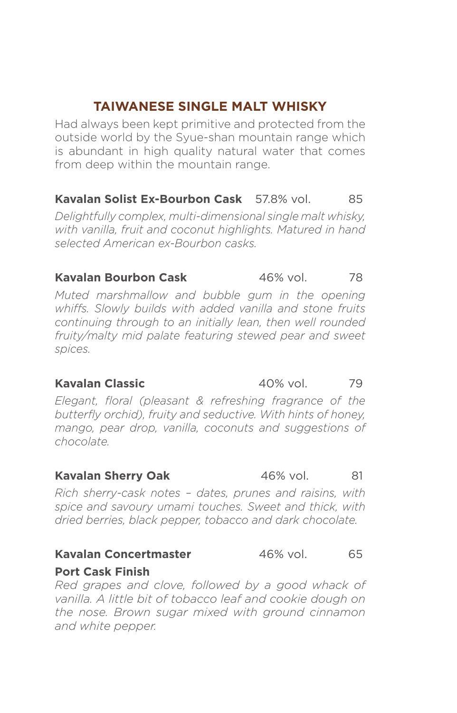# **TAIWANESE SINGLE MALT WHISKY**

Had always been kept primitive and protected from the outside world by the Syue-shan mountain range which is abundant in high quality natural water that comes from deep within the mountain range.

### **Kavalan Solist Ex-Bourbon Cask** 57.8% vol. 85

*Delightfully complex, multi-dimensional single malt whisky, with vanilla, fruit and coconut highlights. Matured in hand selected American ex-Bourbon casks.*

### **Kavalan Bourbon Cask** 46% vol. 78

*Muted marshmallow and bubble gum in the opening whiffs. Slowly builds with added vanilla and stone fruits continuing through to an initially lean, then well rounded fruity/malty mid palate featuring stewed pear and sweet spices.*

*Elegant, floral (pleasant & refreshing fragrance of the butterfly orchid), fruity and seductive. With hints of honey, mango, pear drop, vanilla, coconuts and suggestions of chocolate.*

### **Kavalan Sherry Oak** 46% vol. 81

*Rich sherry-cask notes – dates, prunes and raisins, with spice and savoury umami touches. Sweet and thick, with dried berries, black pepper, tobacco and dark chocolate.*

### **Kavalan Concertmaster** 46% vol. 65

**Port Cask Finish** 

*Red grapes and clove, followed by a good whack of vanilla. A little bit of tobacco leaf and cookie dough on the nose. Brown sugar mixed with ground cinnamon and white pepper.* 

**Kavalan Classic 61 and 40% vol. 50 and 79**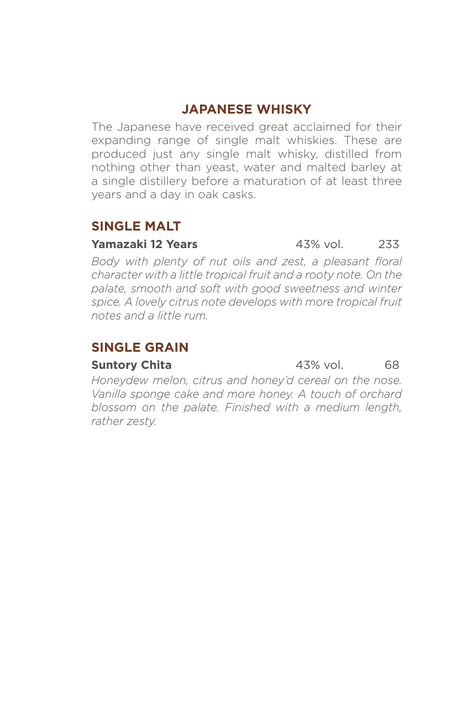# **JAPANESE WHISKY**

The Japanese have received great acclaimed for their expanding range of single malt whiskies. These are produced just any single malt whisky, distilled from nothing other than yeast, water and malted barley at a single distillery before a maturation of at least three years and a day in oak casks.

# **SINGLE MALT**

### **Yamazaki 12 Years** 43% vol. 233

*Body with plenty of nut oils and zest, a pleasant floral character with a little tropical fruit and a rooty note. On the palate, smooth and soft with good sweetness and winter spice. A lovely citrus note develops with more tropical fruit notes and a little rum.*

# **SINGLE GRAIN**

*Honeydew melon, citrus and honey'd cereal on the nose. Vanilla sponge cake and more honey. A touch of orchard blossom on the palate. Finished with a medium length, rather zesty.*

**Suntory Chita** 43% vol. 68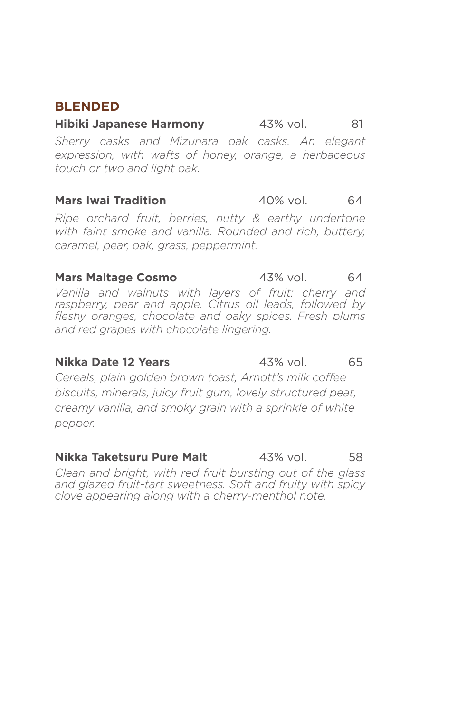# **BLENDED**

**Hibiki Japanese Harmony** 43% vol. 81 *Sherry casks and Mizunara oak casks. An elegant expression, with wafts of honey, orange, a herbaceous touch or two and light oak.*

### **Mars Iwai Tradition** 40% vol. 64

*Ripe orchard fruit, berries, nutty & earthy undertone with faint smoke and vanilla. Rounded and rich, buttery, caramel, pear, oak, grass, peppermint.* 

### **Mars Maltage Cosmo** 43% vol. 64

*Vanilla and walnuts with layers of fruit: cherry and raspberry, pear and apple. Citrus oil leads, followed by fleshy oranges, chocolate and oaky spices. Fresh plums and red grapes with chocolate lingering.*

### **Nikka Date 12 Years** 43% vol. 65

*Cereals, plain golden brown toast, Arnott's milk coffee biscuits, minerals, juicy fruit gum, lovely structured peat, creamy vanilla, and smoky grain with a sprinkle of white pepper.*

**Nikka Taketsuru Pure Malt**  $43\%$  vol. 58

*Clean and bright, with red fruit bursting out of the glass and glazed fruit-tart sweetness. Soft and fruity with spicy clove appearing along with a cherry-menthol note.*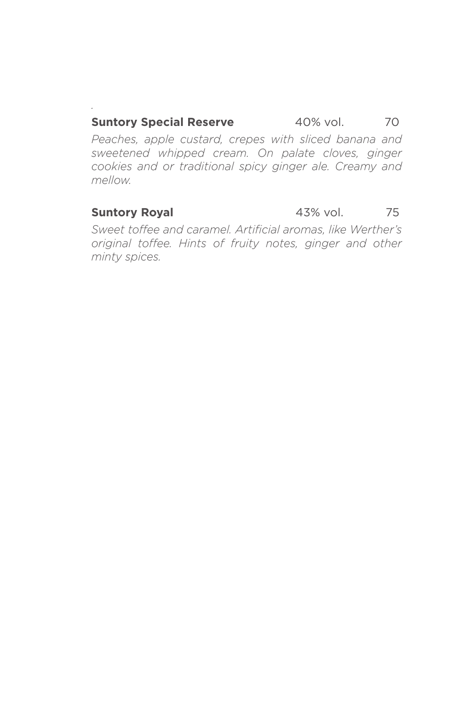### **Suntory Special Reserve** 40% vol. 70

*Peaches, apple custard, crepes with sliced banana and sweetened whipped cream. On palate cloves, ginger cookies and or traditional spicy ginger ale. Creamy and mellow.*

*.*

### **Suntory Royal** 43% vol. 75

*Sweet toffee and caramel. Artificial aromas, like Werther's original toffee. Hints of fruity notes, ginger and other minty spices.*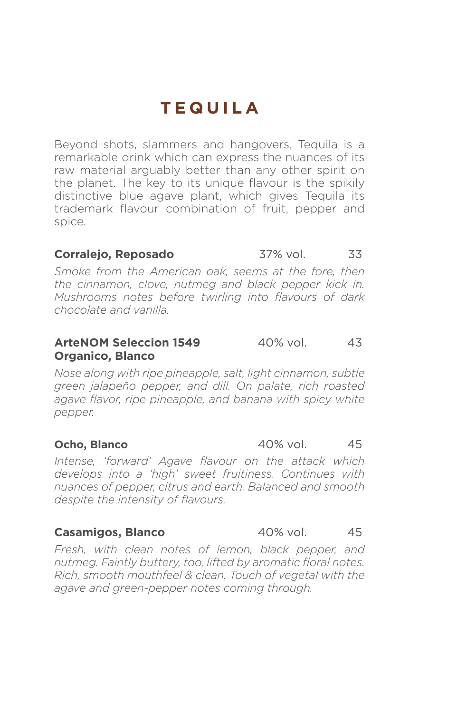# **TEQUILA**

Beyond shots, slammers and hangovers, Tequila is a remarkable drink which can express the nuances of its raw material arguably better than any other spirit on the planet. The key to its unique flavour is the spikily distinctive blue agave plant, which gives Tequila its trademark flavour combination of fruit, pepper and spice.

### **Corralejo, Reposado** 37% vol. 33

*Smoke from the American oak, seems at the fore, then the cinnamon, clove, nutmeg and black pepper kick in. Mushrooms notes before twirling into flavours of dark chocolate and vanilla.*

### **ArteNOM Seleccion 1549** 40% vol. 43 **Organico, Blanco**

*Nose along with ripe pineapple, salt, light cinnamon, subtle green jalapeño pepper, and dill. On palate, rich roasted agave flavor, ripe pineapple, and banana with spicy white pepper.*

*Intense, 'forward' Agave flavour on the attack which develops into a 'high' sweet fruitiness. Continues with nuances of pepper, citrus and earth. Balanced and smooth despite the intensity of flavours.*

### **Casamigos, Blanco** 40% vol. 45

*Fresh, with clean notes of lemon, black pepper, and nutmeg. Faintly buttery, too, lifted by aromatic floral notes. Rich, smooth mouthfeel & clean. Touch of vegetal with the agave and green-pepper notes coming through.*

**Ocho, Blanco 40% vol.** 45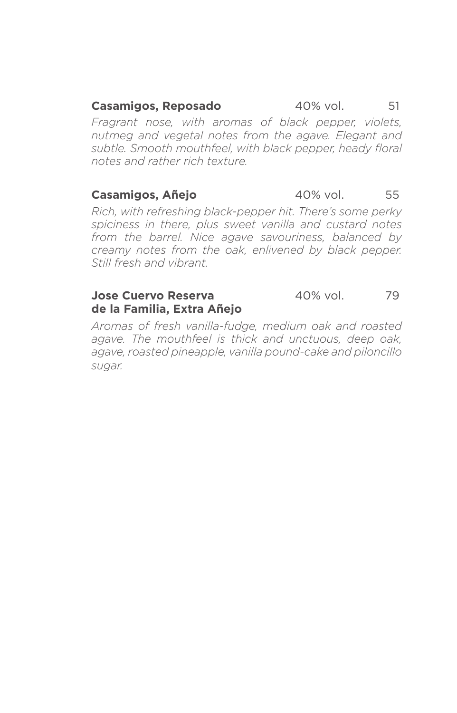### **Casamigos, Reposado** 40% vol. 51

*Fragrant nose, with aromas of black pepper, violets, nutmeg and vegetal notes from the agave. Elegant and subtle. Smooth mouthfeel, with black pepper, heady floral notes and rather rich texture.*

### **Casamigos, Añejo** 40% vol. 55

*Rich, with refreshing black-pepper hit. There's some perky spiciness in there, plus sweet vanilla and custard notes from the barrel. Nice agave savouriness, balanced by creamy notes from the oak, enlivened by black pepper. Still fresh and vibrant.*

### **Jose Cuervo Reserva** 40% vol. 79 **de la Familia, Extra Añejo**

*Aromas of fresh vanilla-fudge, medium oak and roasted agave. The mouthfeel is thick and unctuous, deep oak, agave, roasted pineapple, vanilla pound-cake and piloncillo sugar.*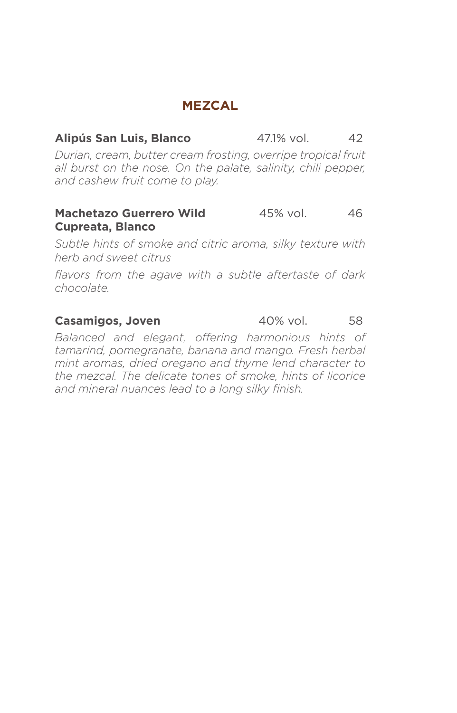# **MEZCAL**

### **Alipús San Luis, Blanco 47.1% vol.** 42

*Durian, cream, butter cream frosting, overripe tropical fruit all burst on the nose. On the palate, salinity, chili pepper, and cashew fruit come to play.*

### **Machetazo Guerrero Wild** 45% vol. 46 **Cupreata, Blanco**

*Subtle hints of smoke and citric aroma, silky texture with herb and sweet citrus*

*flavors from the agave with a subtle aftertaste of dark chocolate.*

### **Casamigos, Joven** 40% vol. 58

*Balanced and elegant, offering harmonious hints of tamarind, pomegranate, banana and mango. Fresh herbal mint aromas, dried oregano and thyme lend character to the mezcal. The delicate tones of smoke, hints of licorice and mineral nuances lead to a long silky finish.*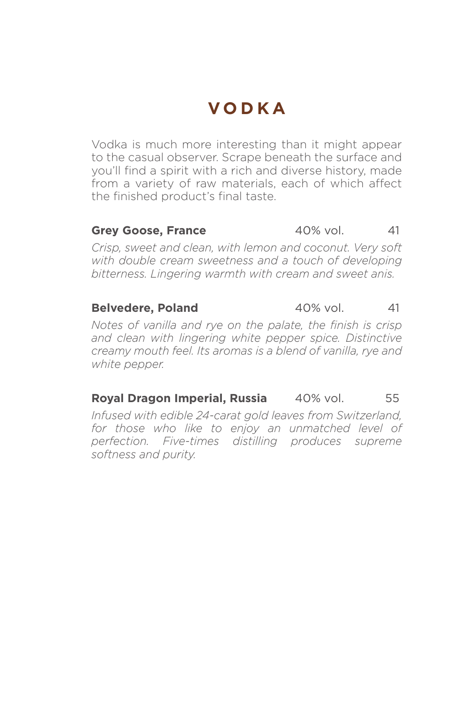# **VODKA**

Vodka is much more interesting than it might appear to the casual observer. Scrape beneath the surface and you'll find a spirit with a rich and diverse history, made from a variety of raw materials, each of which affect the finished product's final taste.

### **Grey Goose, France** 40% vol. 41

*Crisp, sweet and clean, with lemon and coconut. Very soft with double cream sweetness and a touch of developing bitterness. Lingering warmth with cream and sweet anis.*

### **Belvedere, Poland** 40% vol. 41

*Notes of vanilla and rye on the palate, the finish is crisp and clean with lingering white pepper spice. Distinctive creamy mouth feel. Its aromas is a blend of vanilla, rye and white pepper.*

### **Royal Dragon Imperial, Russia** 40% vol. 55

*Infused with edible 24-carat gold leaves from Switzerland, for those who like to enjoy an unmatched level of perfection. Five-times distilling produces supreme softness and purity.*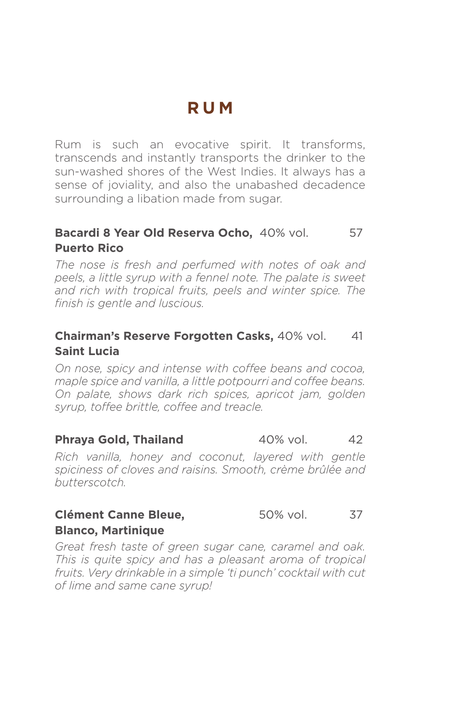# **RUM**

Rum is such an evocative spirit. It transforms, transcends and instantly transports the drinker to the sun-washed shores of the West Indies. It always has a sense of joviality, and also the unabashed decadence surrounding a libation made from sugar.

# **Bacardi 8 Year Old Reserva Ocho.** 40% vol. 57 **Puerto Rico**

*The nose is fresh and perfumed with notes of oak and peels, a little syrup with a fennel note. The palate is sweet and rich with tropical fruits, peels and winter spice. The finish is gentle and luscious.*

# **Chairman's Reserve Forgotten Casks, 40% vol. 41 Saint Lucia**

*On nose, spicy and intense with coffee beans and cocoa, maple spice and vanilla, a little potpourri and coffee beans. On palate, shows dark rich spices, apricot jam, golden syrup, toffee brittle, coffee and treacle.*

### **Phraya Gold, Thailand** 40% vol. 42

*Rich vanilla, honey and coconut, layered with gentle spiciness of cloves and raisins. Smooth, crème brûlée and butterscotch.*

### **Clément Canne Bleue,** 50% vol. 37 **Blanco, Martinique**

*Great fresh taste of green sugar cane, caramel and oak. This is quite spicy and has a pleasant aroma of tropical fruits. Very drinkable in a simple 'ti punch' cocktail with cut of lime and same cane syrup!*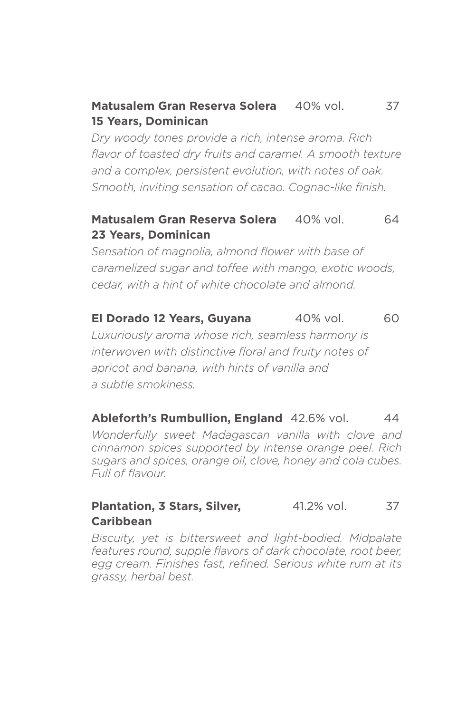## **Matusalem Gran Reserva Solera** 40% vol. 37 **15 Years, Dominican**

*Dry woody tones provide a rich, intense aroma. Rich flavor of toasted dry fruits and caramel. A smooth texture and a complex, persistent evolution, with notes of oak. Smooth, inviting sensation of cacao. Cognac-like finish.*

### **Matusalem Gran Reserva Solera** 40% vol. 64 **23 Years, Dominican**

*Sensation of magnolia, almond flower with base of caramelized sugar and toffee with mango, exotic woods, cedar, with a hint of white chocolate and almond.*

**El Dorado 12 Years, Guyana** 40% vol. 60

*Luxuriously aroma whose rich, seamless harmony is interwoven with distinctive floral and fruity notes of apricot and banana, with hints of vanilla and a subtle smokiness.*

### **Ableforth's Rumbullion, England** 42.6% vol. 44

*Wonderfully sweet Madagascan vanilla with clove and cinnamon spices supported by intense orange peel. Rich sugars and spices, orange oil, clove, honey and cola cubes. Full of flavour.*

### **Plantation, 3 Stars, Silver, 41.2% vol. 37 Caribbean**

*Biscuity, yet is bittersweet and light-bodied. Midpalate*  features round, supple flavors of dark chocolate, root beer, *egg cream. Finishes fast, refined. Serious white rum at its grassy, herbal best.*